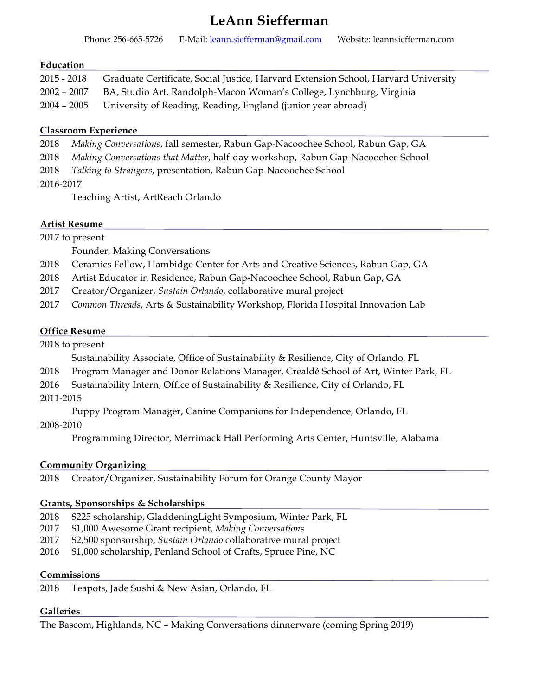# **LeAnn Siefferman**

| Phone: 256-665-5726 | E-Mail: leann.siefferman@gmail.com | Website: leannsiefferman.com |
|---------------------|------------------------------------|------------------------------|
|---------------------|------------------------------------|------------------------------|

#### **Education**

| $2015 - 2018$ | Graduate Certificate, Social Justice, Harvard Extension School, Harvard University |
|---------------|------------------------------------------------------------------------------------|
| $2002 - 2007$ | BA, Studio Art, Randolph-Macon Woman's College, Lynchburg, Virginia                |
|               | 2004 - 2005 University of Reading, Reading, England (junior year abroad)           |

#### **Classroom Experience**

| 2018 Making Conversations, fall semester, Rabun Gap-Nacoochee School, Rabun Gap, GA |  |  |  |
|-------------------------------------------------------------------------------------|--|--|--|
|                                                                                     |  |  |  |

2018 *Making Conversations that Matter*, half-day workshop, Rabun Gap-Nacoochee School

2018 *Talking to Strangers*, presentation, Rabun Gap-Nacoochee School

#### 2016-2017

Teaching Artist, ArtReach Orlando

#### **Artist Resume**

|      | 2017 to present                                                                 |  |
|------|---------------------------------------------------------------------------------|--|
|      | Founder, Making Conversations                                                   |  |
| 2018 | Ceramics Fellow, Hambidge Center for Arts and Creative Sciences, Rabun Gap, GA  |  |
| 2018 | Artist Educator in Residence, Rabun Gap-Nacoochee School, Rabun Gap, GA         |  |
| 2017 | Creator/Organizer, Sustain Orlando, collaborative mural project                 |  |
| 2017 | Common Threads, Arts & Sustainability Workshop, Florida Hospital Innovation Lab |  |

# **Office Resume**

2018 to present

Sustainability Associate, Office of Sustainability & Resilience, City of Orlando, FL

- 2018 Program Manager and Donor Relations Manager, Crealdé School of Art, Winter Park, FL
- 2016 Sustainability Intern, Office of Sustainability & Resilience, City of Orlando, FL
- 2011-2015

Puppy Program Manager, Canine Companions for Independence, Orlando, FL

#### 2008-2010

Programming Director, Merrimack Hall Performing Arts Center, Huntsville, Alabama

# **Community Organizing**

2018 Creator/Organizer, Sustainability Forum for Orange County Mayor

#### **Grants, Sponsorships & Scholarships**

- 2018 \$225 scholarship, GladdeningLight Symposium, Winter Park, FL
- 2017 \$1,000 Awesome Grant recipient, *Making Conversations*
- 2017 \$2,500 sponsorship, *Sustain Orlando* collaborative mural project
- 2016 \$1,000 scholarship, Penland School of Crafts, Spruce Pine, NC

#### **Commissions**

2018 Teapots, Jade Sushi & New Asian, Orlando, FL

# **Galleries**

The Bascom, Highlands, NC – Making Conversations dinnerware (coming Spring 2019)